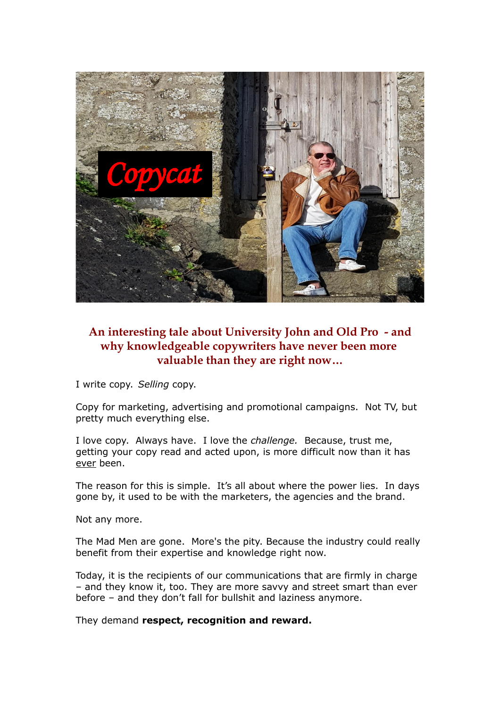

## **An interesting tale about University John and Old Pro - and why knowledgeable copywriters have never been more valuable than they are right now…**

I write copy. *Selling* copy.

Copy for marketing, advertising and promotional campaigns. Not TV, but pretty much everything else.

I love copy. Always have. I love the *challenge.* Because, trust me, getting your copy read and acted upon, is more difficult now than it has ever been.

The reason for this is simple. It's all about where the power lies. In days gone by, it used to be with the marketers, the agencies and the brand.

Not any more.

The Mad Men are gone. More's the pity. Because the industry could really benefit from their expertise and knowledge right now.

Today, it is the recipients of our communications that are firmly in charge – and they know it, too. They are more savvy and street smart than ever before – and they don't fall for bullshit and laziness anymore.

They demand **respect, recognition and reward.**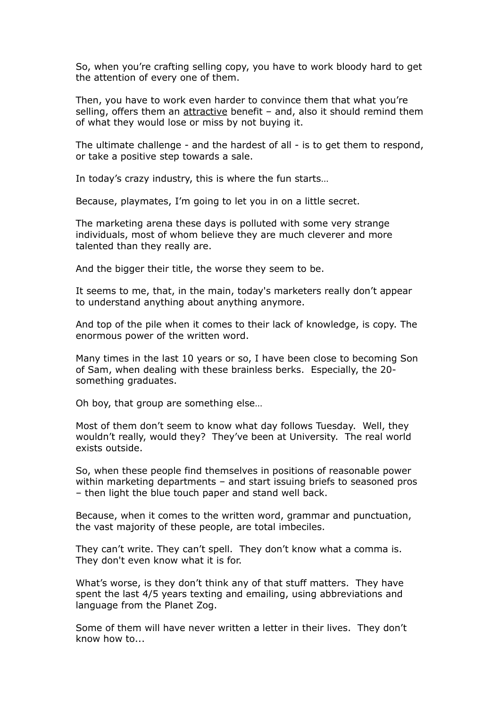So, when you're crafting selling copy, you have to work bloody hard to get the attention of every one of them.

Then, you have to work even harder to convince them that what you're selling, offers them an attractive benefit - and, also it should remind them of what they would lose or miss by not buying it.

The ultimate challenge - and the hardest of all - is to get them to respond, or take a positive step towards a sale.

In today's crazy industry, this is where the fun starts…

Because, playmates, I'm going to let you in on a little secret.

The marketing arena these days is polluted with some very strange individuals, most of whom believe they are much cleverer and more talented than they really are.

And the bigger their title, the worse they seem to be.

It seems to me, that, in the main, today's marketers really don't appear to understand anything about anything anymore.

And top of the pile when it comes to their lack of knowledge, is copy. The enormous power of the written word.

Many times in the last 10 years or so, I have been close to becoming Son of Sam, when dealing with these brainless berks. Especially, the 20 something graduates.

Oh boy, that group are something else…

Most of them don't seem to know what day follows Tuesday. Well, they wouldn't really, would they? They've been at University. The real world exists outside.

So, when these people find themselves in positions of reasonable power within marketing departments – and start issuing briefs to seasoned pros – then light the blue touch paper and stand well back.

Because, when it comes to the written word, grammar and punctuation, the vast majority of these people, are total imbeciles.

They can't write. They can't spell. They don't know what a comma is. They don't even know what it is for.

What's worse, is they don't think any of that stuff matters. They have spent the last 4/5 years texting and emailing, using abbreviations and language from the Planet Zog.

Some of them will have never written a letter in their lives. They don't know how to...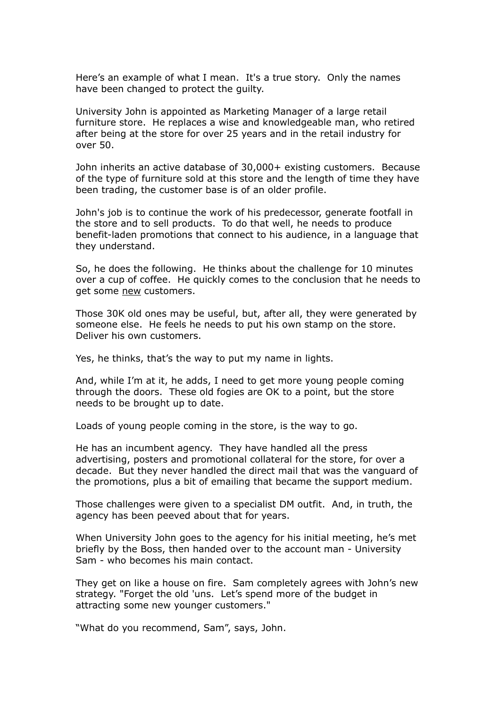Here's an example of what I mean. It's a true story. Only the names have been changed to protect the guilty.

University John is appointed as Marketing Manager of a large retail furniture store. He replaces a wise and knowledgeable man, who retired after being at the store for over 25 years and in the retail industry for over 50.

John inherits an active database of 30,000+ existing customers. Because of the type of furniture sold at this store and the length of time they have been trading, the customer base is of an older profile.

John's job is to continue the work of his predecessor, generate footfall in the store and to sell products. To do that well, he needs to produce benefit-laden promotions that connect to his audience, in a language that they understand.

So, he does the following. He thinks about the challenge for 10 minutes over a cup of coffee. He quickly comes to the conclusion that he needs to get some new customers.

Those 30K old ones may be useful, but, after all, they were generated by someone else. He feels he needs to put his own stamp on the store. Deliver his own customers.

Yes, he thinks, that's the way to put my name in lights.

And, while I'm at it, he adds, I need to get more young people coming through the doors. These old fogies are OK to a point, but the store needs to be brought up to date.

Loads of young people coming in the store, is the way to go.

He has an incumbent agency. They have handled all the press advertising, posters and promotional collateral for the store, for over a decade. But they never handled the direct mail that was the vanguard of the promotions, plus a bit of emailing that became the support medium.

Those challenges were given to a specialist DM outfit. And, in truth, the agency has been peeved about that for years.

When University John goes to the agency for his initial meeting, he's met briefly by the Boss, then handed over to the account man - University Sam - who becomes his main contact.

They get on like a house on fire. Sam completely agrees with John's new strategy. "Forget the old 'uns. Let's spend more of the budget in attracting some new younger customers."

"What do you recommend, Sam", says, John.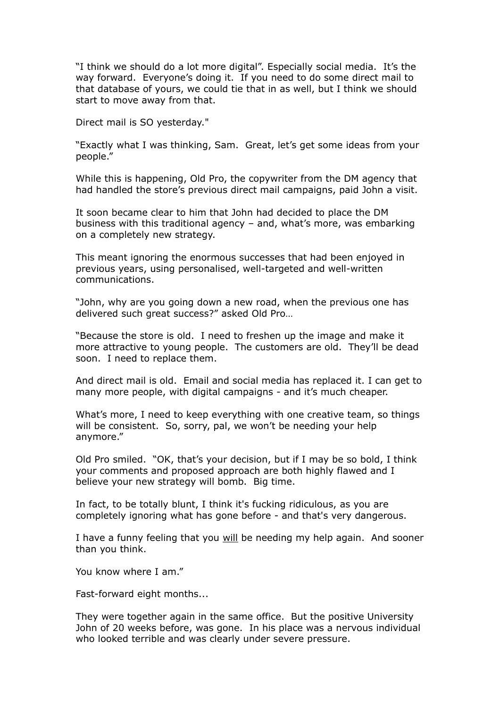"I think we should do a lot more digital". Especially social media. It's the way forward. Everyone's doing it. If you need to do some direct mail to that database of yours, we could tie that in as well, but I think we should start to move away from that.

Direct mail is SO yesterday."

"Exactly what I was thinking, Sam. Great, let's get some ideas from your people."

While this is happening, Old Pro, the copywriter from the DM agency that had handled the store's previous direct mail campaigns, paid John a visit.

It soon became clear to him that John had decided to place the DM business with this traditional agency – and, what's more, was embarking on a completely new strategy.

This meant ignoring the enormous successes that had been enjoyed in previous years, using personalised, well-targeted and well-written communications.

"John, why are you going down a new road, when the previous one has delivered such great success?" asked Old Pro…

"Because the store is old. I need to freshen up the image and make it more attractive to young people. The customers are old. They'll be dead soon. I need to replace them.

And direct mail is old. Email and social media has replaced it. I can get to many more people, with digital campaigns - and it's much cheaper.

What's more, I need to keep everything with one creative team, so things will be consistent. So, sorry, pal, we won't be needing your help anymore."

Old Pro smiled. "OK, that's your decision, but if I may be so bold, I think your comments and proposed approach are both highly flawed and I believe your new strategy will bomb. Big time.

In fact, to be totally blunt, I think it's fucking ridiculous, as you are completely ignoring what has gone before - and that's very dangerous.

I have a funny feeling that you will be needing my help again. And sooner than you think.

You know where I am."

Fast-forward eight months...

They were together again in the same office. But the positive University John of 20 weeks before, was gone. In his place was a nervous individual who looked terrible and was clearly under severe pressure.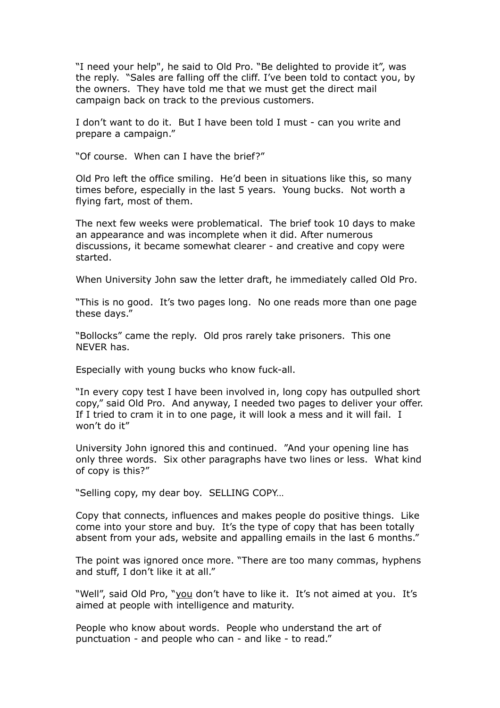"I need your help", he said to Old Pro. "Be delighted to provide it", was the reply. "Sales are falling off the cliff. I've been told to contact you, by the owners. They have told me that we must get the direct mail campaign back on track to the previous customers.

I don't want to do it. But I have been told I must - can you write and prepare a campaign."

"Of course. When can I have the brief?"

Old Pro left the office smiling. He'd been in situations like this, so many times before, especially in the last 5 years. Young bucks. Not worth a flying fart, most of them.

The next few weeks were problematical. The brief took 10 days to make an appearance and was incomplete when it did. After numerous discussions, it became somewhat clearer - and creative and copy were started.

When University John saw the letter draft, he immediately called Old Pro.

"This is no good. It's two pages long. No one reads more than one page these days."

"Bollocks" came the reply. Old pros rarely take prisoners. This one NEVER has.

Especially with young bucks who know fuck-all.

"In every copy test I have been involved in, long copy has outpulled short copy," said Old Pro. And anyway, I needed two pages to deliver your offer. If I tried to cram it in to one page, it will look a mess and it will fail. I won't do it"

University John ignored this and continued. "And your opening line has only three words. Six other paragraphs have two lines or less. What kind of copy is this?"

"Selling copy, my dear boy. SELLING COPY…

Copy that connects, influences and makes people do positive things. Like come into your store and buy. It's the type of copy that has been totally absent from your ads, website and appalling emails in the last 6 months."

The point was ignored once more. "There are too many commas, hyphens and stuff, I don't like it at all."

"Well", said Old Pro, "you don't have to like it. It's not aimed at you. It's aimed at people with intelligence and maturity.

People who know about words. People who understand the art of punctuation - and people who can - and like - to read."